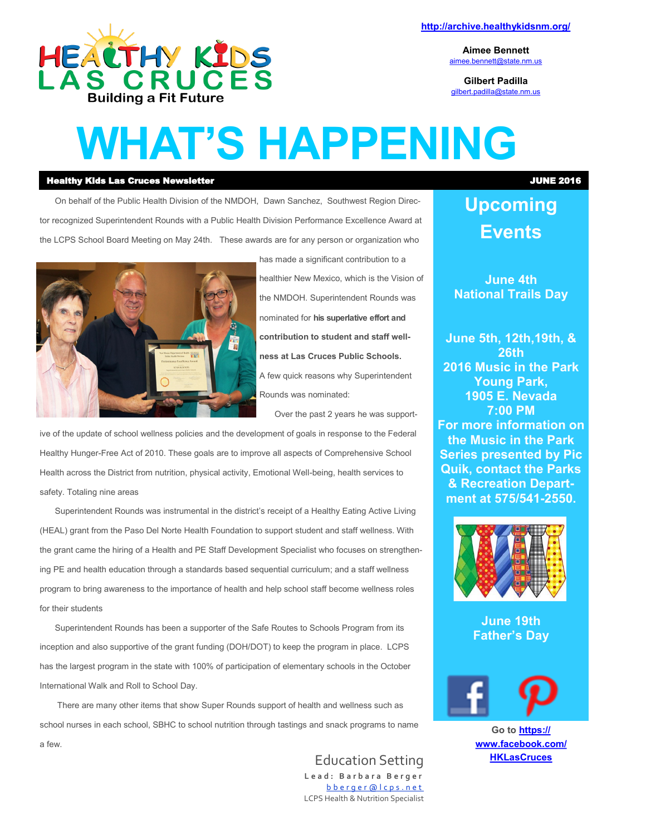

**<http://archive.healthykidsnm.org/>**

**Aimee Bennett** [aimee.bennett@state.nm.us](mailto:aimee.bennett@state.nm.us)

**Gilbert Padilla** [gilbert.padilla@state.nm.us](mailto:gilbert.padilla@state.nm.us)

## **WHAT'S HAPPENING**

#### Healthy Kids Las Cruces Newsletter JUNE 2016

On behalf of the Public Health Division of the NMDOH, Dawn Sanchez, Southwest Region Director recognized Superintendent Rounds with a Public Health Division Performance Excellence Award at the LCPS School Board Meeting on May 24th. These awards are for any person or organization who



has made a significant contribution to a healthier New Mexico, which is the Vision of the NMDOH. Superintendent Rounds was nominated for **his superlative effort and contribution to student and staff wellness at Las Cruces Public Schools.** A few quick reasons why Superintendent Rounds was nominated:

Over the past 2 years he was support-

ive of the update of school wellness policies and the development of goals in response to the Federal Healthy Hunger-Free Act of 2010. These goals are to improve all aspects of Comprehensive School Health across the District from nutrition, physical activity, Emotional Well-being, health services to safety. Totaling nine areas

Superintendent Rounds was instrumental in the district's receipt of a Healthy Eating Active Living (HEAL) grant from the Paso Del Norte Health Foundation to support student and staff wellness. With the grant came the hiring of a Health and PE Staff Development Specialist who focuses on strengthening PE and health education through a standards based sequential curriculum; and a staff wellness program to bring awareness to the importance of health and help school staff become wellness roles for their students

Superintendent Rounds has been a supporter of the Safe Routes to Schools Program from its inception and also supportive of the grant funding (DOH/DOT) to keep the program in place. LCPS has the largest program in the state with 100% of participation of elementary schools in the October International Walk and Roll to School Day.

There are many other items that show Super Rounds support of health and wellness such as school nurses in each school, SBHC to school nutrition through tastings and snack programs to name a few.

> Education Setting **L e a d : B a r b a r a B e r g e r** b b e r q e r @ l c p s . n e t LCPS Health & Nutrition Specialist

#### **Upcoming Events**

**June 4th National Trails Day**

**June 5th, 12th,19th, & 26th 2016 Music in the Park Young Park, 1905 E. Nevada 7:00 PM For more information on the Music in the Park Series presented by Pic Quik, contact the Parks & Recreation Department at 575/541-2550.**



**June 19th Father's Day**



**Go to [https://](https://www.facebook.com/HKLasCruces?ref=hl) [www.facebook.com/](https://www.facebook.com/HKLasCruces?ref=hl) [HKLasCruces](https://www.facebook.com/HKLasCruces?ref=hl)**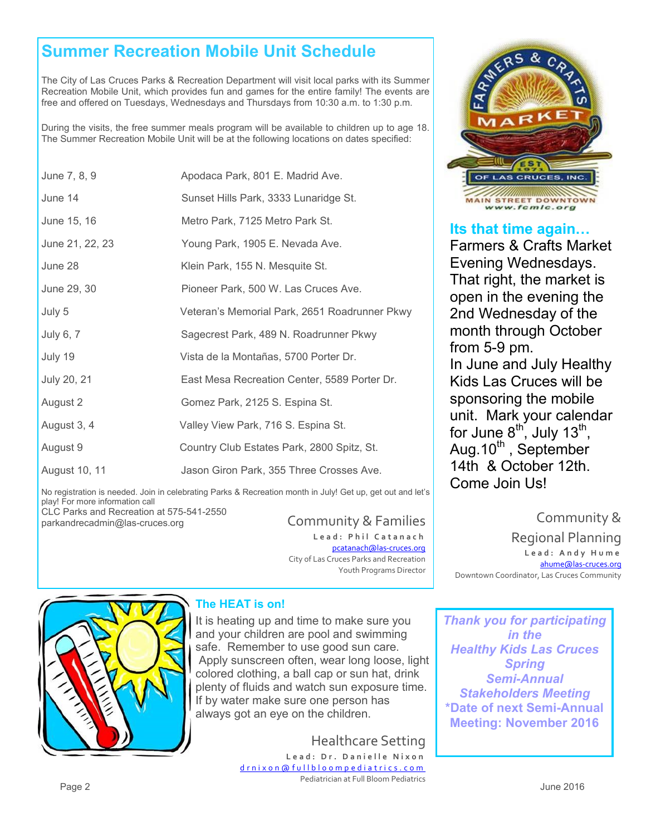#### **Summer Recreation Mobile Unit Schedule**

The City of Las Cruces Parks & Recreation Department will visit local parks with its Summer Recreation Mobile Unit, which provides fun and games for the entire family! The events are free and offered on Tuesdays, Wednesdays and Thursdays from 10:30 a.m. to 1:30 p.m.

During the visits, the free summer meals program will be available to children up to age 18. The Summer Recreation Mobile Unit will be at the following locations on dates specified:

| June 7, 8, 9    | Apodaca Park, 801 E. Madrid Ave.              |
|-----------------|-----------------------------------------------|
| June 14         | Sunset Hills Park, 3333 Lunaridge St.         |
| June 15, 16     | Metro Park, 7125 Metro Park St.               |
| June 21, 22, 23 | Young Park, 1905 E. Nevada Ave.               |
| June 28         | Klein Park, 155 N. Mesquite St.               |
| June 29, 30     | Pioneer Park, 500 W. Las Cruces Ave.          |
| July 5          | Veteran's Memorial Park, 2651 Roadrunner Pkwy |
| July 6, 7       | Sagecrest Park, 489 N. Roadrunner Pkwy        |
| July 19         | Vista de la Montañas, 5700 Porter Dr.         |
| July 20, 21     | East Mesa Recreation Center, 5589 Porter Dr.  |
| August 2        | Gomez Park, 2125 S. Espina St.                |
| August 3, 4     | Valley View Park, 716 S. Espina St.           |
| August 9        | Country Club Estates Park, 2800 Spitz, St.    |
| August 10, 11   | Jason Giron Park, 355 Three Crosses Ave.      |

No registration is needed. Join in celebrating Parks & Recreation month in July! Get up, get out and let's play! For more information call

CLC Parks and Recreation at 575-541-2550 parkandrecadmin@las-cruces.org Community & Families

Lead: Phil Catanach

[pcatanach@las](mailto:mjohnston@las-cruces.org)-cruces.org City of Las Cruces Parks and Recreation Youth Programs Director



#### **The HEAT is on!**

It is heating up and time to make sure you and your children are pool and swimming safe. Remember to use good sun care. Apply sunscreen often, wear long loose, light colored clothing, a ball cap or sun hat, drink plenty of fluids and watch sun exposure time. If by water make sure one person has always got an eye on the children.

Healthcare Setting

Lead: Dr. Danielle Nixon [d r n i x o n @ f u l l b l o o m p e d i a t r i c s . c o m](mailto:drnixon@fullbloompediatrics.com) Pediatrician at Full Bloom Pediatrics



#### **Its that time again…**

Farmers & Crafts Market Evening Wednesdays. That right, the market is open in the evening the 2nd Wednesday of the month through October from 5-9 pm. In June and July Healthy Kids Las Cruces will be

sponsoring the mobile unit. Mark your calendar for June  $8^{\text{th}}$ , July 13<sup>th</sup>, Aug. $10^{th}$ , September 14th & October 12th. Come Join Us!

Community & Regional Planning **L e a d : A n d y H u m e** [ahume@las](mailto:ahume@las-cruces.org)-cruces.org Downtown Coordinator, Las Cruces Community

*Thank you for participating in the Healthy Kids Las Cruces Spring Semi-Annual Stakeholders Meeting* **\*Date of next Semi-Annual Meeting: November 2016**